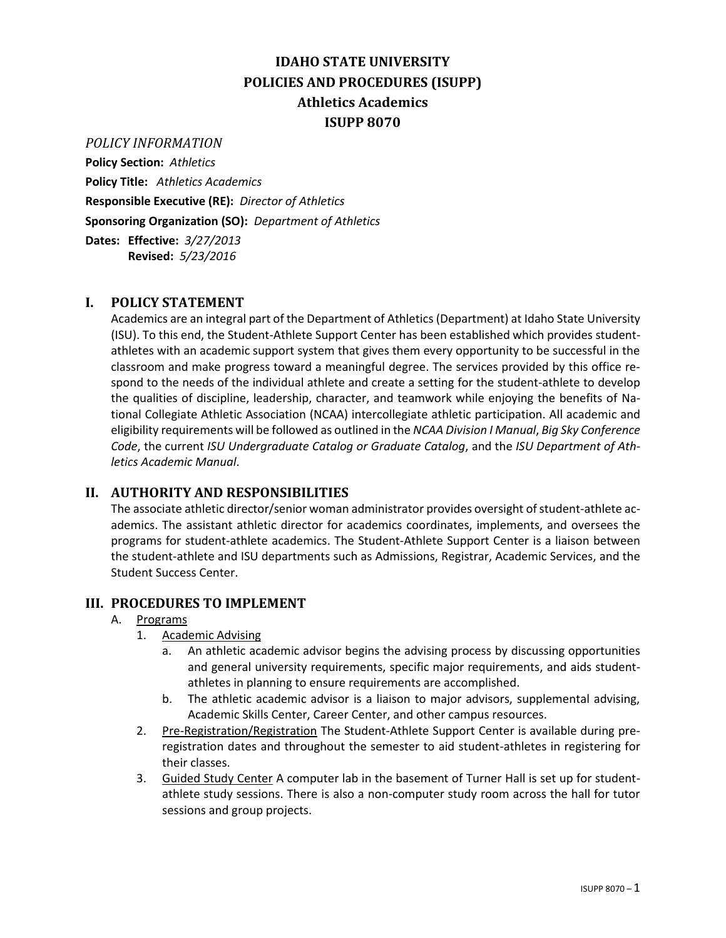# **IDAHO STATE UNIVERSITY POLICIES AND PROCEDURES (ISUPP) Athletics Academics ISUPP 8070**

### *POLICY INFORMATION*

**Policy Section:** *Athletics* **Policy Title:** *Athletics Academics* **Responsible Executive (RE):** *Director of Athletics* **Sponsoring Organization (SO):** *Department of Athletics* **Dates: Effective:** *3/27/2013* **Revised:** *5/23/2016*

## **I. POLICY STATEMENT**

Academics are an integral part of the Department of Athletics (Department) at Idaho State University (ISU). To this end, the Student-Athlete Support Center has been established which provides studentathletes with an academic support system that gives them every opportunity to be successful in the classroom and make progress toward a meaningful degree. The services provided by this office respond to the needs of the individual athlete and create a setting for the student-athlete to develop the qualities of discipline, leadership, character, and teamwork while enjoying the benefits of National Collegiate Athletic Association (NCAA) intercollegiate athletic participation. All academic and eligibility requirements will be followed as outlined in the *NCAA Division I Manual*, *Big Sky Conference Code*, the current *ISU Undergraduate Catalog or Graduate Catalog*, and the *ISU Department of Athletics Academic Manual*.

#### **II. AUTHORITY AND RESPONSIBILITIES**

The associate athletic director/senior woman administrator provides oversight of student-athlete academics. The assistant athletic director for academics coordinates, implements, and oversees the programs for student-athlete academics. The Student-Athlete Support Center is a liaison between the student-athlete and ISU departments such as Admissions, Registrar, Academic Services, and the Student Success Center.

#### **III. PROCEDURES TO IMPLEMENT**

#### A. Programs

- 1. Academic Advising
	- a. An athletic academic advisor begins the advising process by discussing opportunities and general university requirements, specific major requirements, and aids studentathletes in planning to ensure requirements are accomplished.
	- b. The athletic academic advisor is a liaison to major advisors, supplemental advising, Academic Skills Center, Career Center, and other campus resources.
- 2. Pre-Registration/Registration The Student-Athlete Support Center is available during preregistration dates and throughout the semester to aid student-athletes in registering for their classes.
- 3. Guided Study Center A computer lab in the basement of Turner Hall is set up for studentathlete study sessions. There is also a non-computer study room across the hall for tutor sessions and group projects.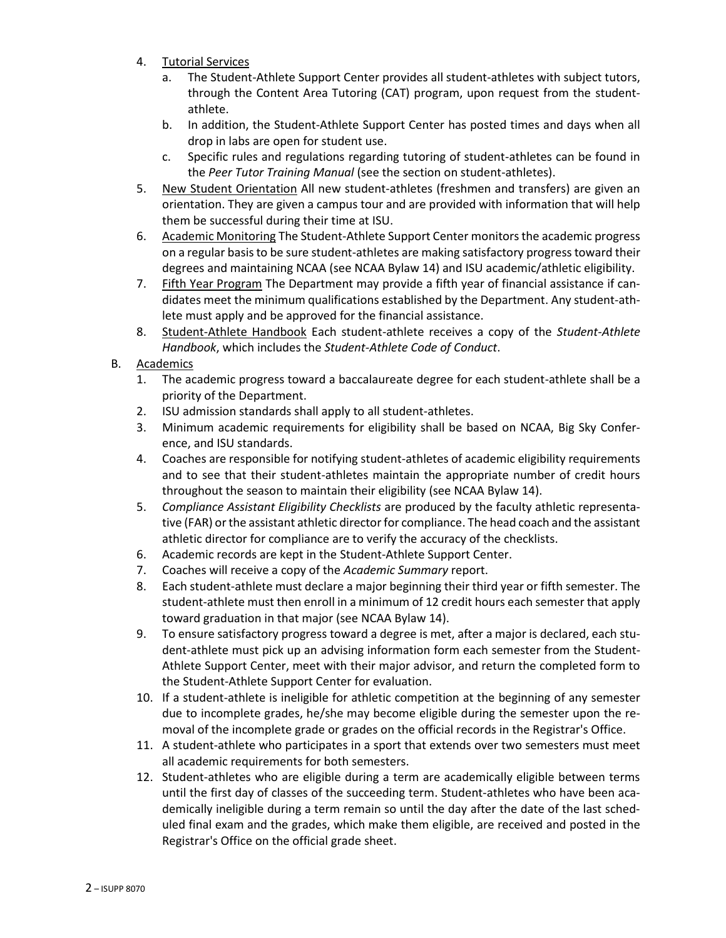- 4. Tutorial Services
	- a. The Student-Athlete Support Center provides all student-athletes with subject tutors, through the Content Area Tutoring (CAT) program, upon request from the studentathlete.
	- b. In addition, the Student-Athlete Support Center has posted times and days when all drop in labs are open for student use.
	- c. Specific rules and regulations regarding tutoring of student-athletes can be found in the *Peer Tutor Training Manual* (see the section on student-athletes).
- 5. New Student Orientation All new student-athletes (freshmen and transfers) are given an orientation. They are given a campus tour and are provided with information that will help them be successful during their time at ISU.
- 6. Academic Monitoring The Student-Athlete Support Center monitors the academic progress on a regular basis to be sure student-athletes are making satisfactory progress toward their degrees and maintaining NCAA (see NCAA Bylaw 14) and ISU academic/athletic eligibility.
- 7. Fifth Year Program The Department may provide a fifth year of financial assistance if candidates meet the minimum qualifications established by the Department. Any student-athlete must apply and be approved for the financial assistance.
- 8. Student-Athlete Handbook Each student-athlete receives a copy of the *Student-Athlete Handbook*, which includes the *Student-Athlete Code of Conduct*.
- B. Academics
	- 1. The academic progress toward a baccalaureate degree for each student-athlete shall be a priority of the Department.
	- 2. ISU admission standards shall apply to all student-athletes.
	- 3. Minimum academic requirements for eligibility shall be based on NCAA, Big Sky Conference, and ISU standards.
	- 4. Coaches are responsible for notifying student-athletes of academic eligibility requirements and to see that their student-athletes maintain the appropriate number of credit hours throughout the season to maintain their eligibility (see NCAA Bylaw 14).
	- 5. *Compliance Assistant Eligibility Checklists* are produced by the faculty athletic representative (FAR) or the assistant athletic director for compliance. The head coach and the assistant athletic director for compliance are to verify the accuracy of the checklists.
	- 6. Academic records are kept in the Student-Athlete Support Center.
	- 7. Coaches will receive a copy of the *Academic Summary* report.
	- 8. Each student-athlete must declare a major beginning their third year or fifth semester. The student-athlete must then enroll in a minimum of 12 credit hours each semester that apply toward graduation in that major (see NCAA Bylaw 14).
	- 9. To ensure satisfactory progress toward a degree is met, after a major is declared, each student-athlete must pick up an advising information form each semester from the Student-Athlete Support Center, meet with their major advisor, and return the completed form to the Student-Athlete Support Center for evaluation.
	- 10. If a student-athlete is ineligible for athletic competition at the beginning of any semester due to incomplete grades, he/she may become eligible during the semester upon the removal of the incomplete grade or grades on the official records in the Registrar's Office.
	- 11. A student-athlete who participates in a sport that extends over two semesters must meet all academic requirements for both semesters.
	- 12. Student-athletes who are eligible during a term are academically eligible between terms until the first day of classes of the succeeding term. Student-athletes who have been academically ineligible during a term remain so until the day after the date of the last scheduled final exam and the grades, which make them eligible, are received and posted in the Registrar's Office on the official grade sheet.